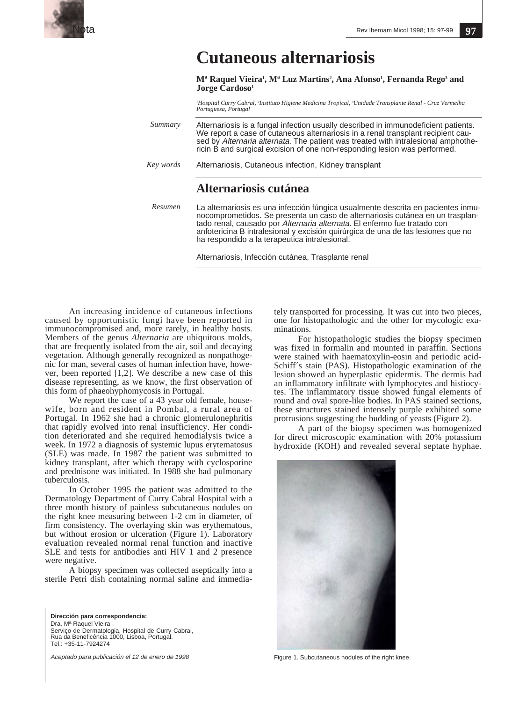

## **Cutaneous alternariosis**

 $\mathbf{M}^{\mathbf{a}}$  Raquel Vieira<sup>1</sup>,  $\mathbf{M}^{\mathbf{a}}$  Luz Martins<sup>2</sup>, Ana Afonso<sup>1</sup>, Fernanda Rego<sup>3</sup> and Jorge Cardoso<sup>1</sup>

*1 Hospital Curry Cabral, 2 Instituto Higiene Medicina Tropical, 3 Unidade Transplante Renal - Cruz Vermelha Portuguesa, Portugal*

Alternariosis is a fungal infection usually described in immunodeficient patients. We report a case of cutaneous alternariosis in a renal transplant recipient caused by Alternaria alternata. The patient was treated with intralesional amphothericin B and surgical excision of one non-responding lesion was performed. *Summary*

Alternariosis, Cutaneous infection, Kidney transplant *Key words*

## **Alternariosis cutánea**

*Resumen*

La alternariosis es una infección fúngica usualmente descrita en pacientes inmunocomprometidos. Se presenta un caso de alternariosis cutánea en un trasplantado renal, causado por Alternaria alternata. El enfermo fue tratado con anfotericina B intralesional y excisión quirúrgica de una de las lesiones que no ha respondido a la terapeutica intralesional.

Alternariosis, Infección cutánea, Trasplante renal

An increasing incidence of cutaneous infections caused by opportunistic fungi have been reported in immunocompromised and, more rarely, in healthy hosts. Members of the genus *Alternaria* are ubiquitous molds, that are frequently isolated from the air, soil and decaying vegetation. Although generally recognized as nonpathogenic for man, several cases of human infection have, however, been reported [1,2]. We describe a new case of this disease representing, as we know, the first observation of this form of phaeohyphomycosis in Portugal.

We report the case of a 43 year old female, housewife, born and resident in Pombal, a rural area of Portugal. In 1962 she had a chronic glomerulonephritis that rapidly evolved into renal insufficiency. Her condition deteriorated and she required hemodialysis twice a week. In 1972 a diagnosis of systemic lupus erytematosus (SLE) was made. In 1987 the patient was submitted to kidney transplant, after which therapy with cyclosporine and prednisone was initiated. In 1988 she had pulmonary tuberculosis.

In October 1995 the patient was admitted to the Dermatology Department of Curry Cabral Hospital with a three month history of painless subcutaneous nodules on the right knee measuring between 1-2 cm in diameter, of firm consistency. The overlaying skin was erythematous, but without erosion or ulceration (Figure 1). Laboratory evaluation revealed normal renal function and inactive SLE and tests for antibodies anti HIV 1 and 2 presence were negative.

A biopsy specimen was collected aseptically into a sterile Petri dish containing normal saline and immedia-

**Dirección para correspondencia:** Dra. Mª Raquel Vieira Serviço de Dermatologia, Hospital de Curry Cabral, Rua da Beneficência 1000, Lisboa, Portugal. Tel.: +35-11-7924274

Aceptado para publicación el 12 de enero de 1998

tely transported for processing. It was cut into two pieces, one for histopathologic and the other for mycologic examinations.

For histopathologic studies the biopsy specimen was fixed in formalin and mounted in paraffin. Sections were stained with haematoxylin-eosin and periodic acid-Schiff´s stain (PAS). Histopathologic examination of the lesion showed an hyperplastic epidermis. The dermis had an inflammatory infiltrate with lymphocytes and histiocytes. The inflammatory tissue showed fungal elements of round and oval spore-like bodies. In PAS stained sections, these structures stained intensely purple exhibited some protrusions suggesting the budding of yeasts (Figure 2).

A part of the biopsy specimen was homogenized for direct microscopic examination with 20% potassium hydroxide (KOH) and revealed several septate hyphae.



Figure 1. Subcutaneous nodules of the right knee.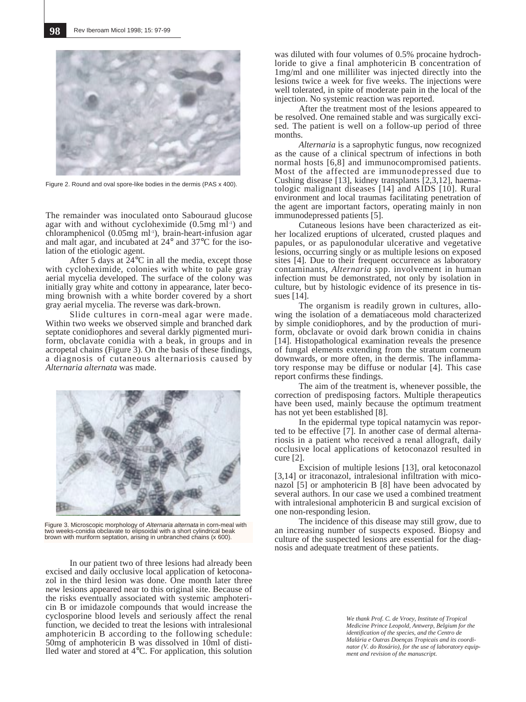

Figure 2. Round and oval spore-like bodies in the dermis (PAS x 400).

The remainder was inoculated onto Sabouraud glucose agar with and without cycloheximide  $(0.5mg \text{ m}^{-1})$  and  $chloramphenicol$  (0.05mg ml<sup>-1</sup>), brain-heart-infusion agar and malt agar, and incubated at 24° and 37°C for the isolation of the etiologic agent.

After 5 days at 24°C in all the media, except those with cycloheximide, colonies with white to pale gray aerial mycelia developed. The surface of the colony was initially gray white and cottony in appearance, later becoming brownish with a white border covered by a short gray aerial mycelia. The reverse was dark-brown.

Slide cultures in corn-meal agar were made. Within two weeks we observed simple and branched dark septate conidiophores and several darkly pigmented muriform, obclavate conidia with a beak, in groups and in acropetal chains (Figure 3). On the basis of these findings, a diagnosis of cutaneous alternariosis caused by *Alternaria alternata* was made.



Figure 3. Microscopic morphology of Alternaria alternata in corn-meal with two weeks-conidia obclavate to elipsoidal with a short cylindrical beak brown with muriform septation, arising in unbranched chains (x 600).

In our patient two of three lesions had already been excised and daily occlusive local application of ketoconazol in the third lesion was done. One month later three new lesions appeared near to this original site. Because of the risks eventually associated with systemic amphotericin B or imidazole compounds that would increase the cyclosporine blood levels and seriously affect the renal function, we decided to treat the lesions with intralesional amphotericin B according to the following schedule: 50mg of amphotericin B was dissolved in 10ml of distilled water and stored at 4°C. For application, this solution

was diluted with four volumes of 0.5% procaine hydrochloride to give a final amphotericin B concentration of 1mg/ml and one milliliter was injected directly into the lesions twice a week for five weeks. The injections were well tolerated, in spite of moderate pain in the local of the injection. No systemic reaction was reported.

After the treatment most of the lesions appeared to be resolved. One remained stable and was surgically excised. The patient is well on a follow-up period of three months.

*Alternaria* is a saprophytic fungus, now recognized as the cause of a clinical spectrum of infections in both normal hosts [6,8] and immunocompromised patients. Most of the affected are immunodepressed due to Cushing disease [13], kidney transplants [2,3,12], haematologic malignant diseases [14] and AIDS [10]. Rural environment and local traumas facilitating penetration of the agent are important factors, operating mainly in non immunodepressed patients [5].

Cutaneous lesions have been characterized as either localized eruptions of ulcerated, crusted plaques and papules, or as papulonodular ulcerative and vegetative lesions, occurring singly or as multiple lesions on exposed sites [4]. Due to their frequent occurrence as laboratory contaminants, *Alternaria* spp. involvement in human infection must be demonstrated, not only by isolation in culture, but by histologic evidence of its presence in tissues [14].

The organism is readily grown in cultures, allowing the isolation of a dematiaceous mold characterized by simple conidiophores, and by the production of muriform, obclavate or ovoid dark brown conidia in chains [14]. Histopathological examination reveals the presence of fungal elements extending from the stratum corneum downwards, or more often, in the dermis. The inflammatory response may be diffuse or nodular [4]. This case report confirms these findings.

The aim of the treatment is, whenever possible, the correction of predisposing factors. Multiple therapeutics have been used, mainly because the optimum treatment has not yet been established [8].

In the epidermal type topical natamycin was reported to be effective [7]. In another case of dermal alternariosis in a patient who received a renal allograft, daily occlusive local applications of ketoconazol resulted in cure [2].

Excision of multiple lesions [13], oral ketoconazol [3,14] or itraconazol, intralesional infiltration with miconazol [5] or amphotericin B [8] have been advocated by several authors. In our case we used a combined treatment with intralesional amphotericin B and surgical excision of one non-responding lesion.

The incidence of this disease may still grow, due to an increasing number of suspects exposed. Biopsy and culture of the suspected lesions are essential for the diagnosis and adequate treatment of these patients.

> *We thank Prof. C. de Vroey, Institute of Tropical Medicine Prince Leopold, Antwerp, Belgium for the identification of the species, and the Centro de Malária e Outras Doenças Tropicais and its coordinator (V. do Rosário), for the use of laboratory equipment and revision of the manuscript.*